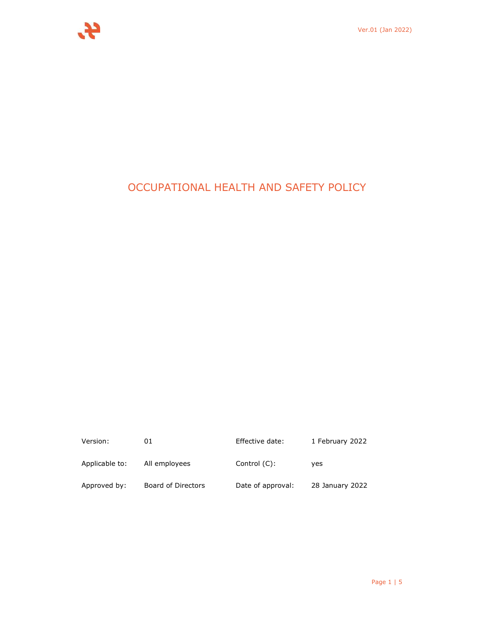

# OCCUPATIONAL HEALTH AND SAFETY POLICY

| Version:       | 01                 | Effective date:   | 1 February 2022 |
|----------------|--------------------|-------------------|-----------------|
| Applicable to: | All employees      | Control $(C)$ :   | ves             |
| Approved by:   | Board of Directors | Date of approval: | 28 January 2022 |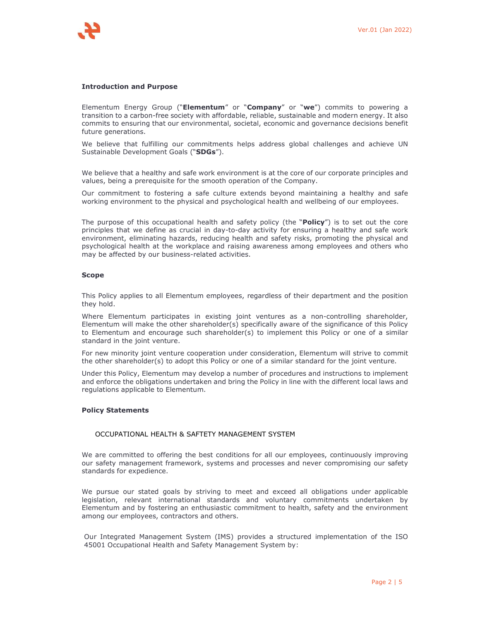

#### **Introduction and Purpose**

Elementum Energy Group ("**Elementum**" or "**Company**" or "**we**") commits to powering a transition to a carbon-free society with affordable, reliable, sustainable and modern energy. It also commits to ensuring that our environmental, societal, economic and governance decisions benefit future generations.

We believe that fulfilling our commitments helps address global challenges and achieve UN Sustainable Development Goals ("**SDGs**").

We believe that a healthy and safe work environment is at the core of our corporate principles and values, being a prerequisite for the smooth operation of the Company.

Our commitment to fostering a safe culture extends beyond maintaining a healthy and safe working environment to the physical and psychological health and wellbeing of our employees.

The purpose of this occupational health and safety policy (the "**Policy**") is to set out the core principles that we define as crucial in day-to-day activity for ensuring a healthy and safe work environment, eliminating hazards, reducing health and safety risks, promoting the physical and psychological health at the workplace and raising awareness among employees and others who may be affected by our business-related activities.

#### **Scope**

This Policy applies to all Elementum employees, regardless of their department and the position they hold.

Where Elementum participates in existing joint ventures as a non-controlling shareholder, Elementum will make the other shareholder(s) specifically aware of the significance of this Policy to Elementum and encourage such shareholder(s) to implement this Policy or one of a similar standard in the joint venture.

For new minority joint venture cooperation under consideration, Elementum will strive to commit the other shareholder(s) to adopt this Policy or one of a similar standard for the joint venture.

Under this Policy, Elementum may develop a number of procedures and instructions to implement and enforce the obligations undertaken and bring the Policy in line with the different local laws and regulations applicable to Elementum.

#### **Policy Statements**

#### OCCUPATIONAL HEALTH & SAFTETY MANAGEMENT SYSTEM

We are committed to offering the best conditions for all our employees, continuously improving our safety management framework, systems and processes and never compromising our safety standards for expedience.

We pursue our stated goals by striving to meet and exceed all obligations under applicable legislation, relevant international standards and voluntary commitments undertaken by Elementum and by fostering an enthusiastic commitment to health, safety and the environment among our employees, contractors and others.

Our Integrated Management System (IMS) provides a structured implementation of the ISO 45001 Occupational Health and Safety Management System by: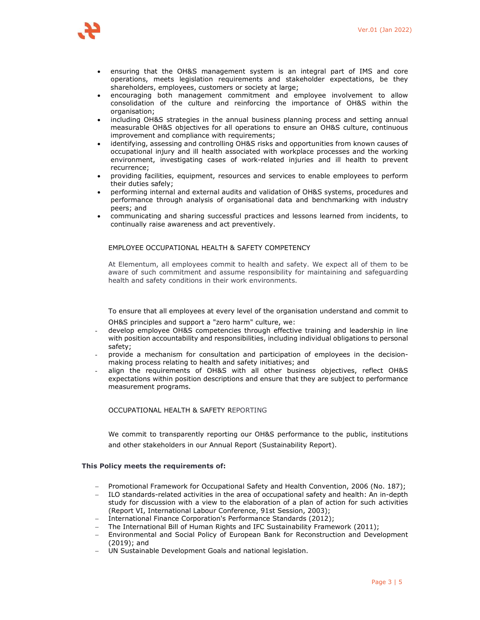

- ensuring that the OH&S management system is an integral part of IMS and core operations, meets legislation requirements and stakeholder expectations, be they shareholders, employees, customers or society at large;
- encouraging both management commitment and employee involvement to allow consolidation of the culture and reinforcing the importance of OH&S within the organisation:
- including OH&S strategies in the annual business planning process and setting annual measurable OH&S objectives for all operations to ensure an OH&S culture, continuous improvement and compliance with requirements;
- identifying, assessing and controlling OH&S risks and opportunities from known causes of occupational injury and ill health associated with workplace processes and the working environment, investigating cases of work-related injuries and ill health to prevent recurrence;
- providing facilities, equipment, resources and services to enable employees to perform their duties safely;
- performing internal and external audits and validation of OH&S systems, procedures and performance through analysis of organisational data and benchmarking with industry peers; and
- communicating and sharing successful practices and lessons learned from incidents, to continually raise awareness and act preventively.

#### EMPLOYEE OCCUPATIONAL HEALTH & SAFETY COMPETENCY

At Elementum, all employees commit to health and safety. We expect all of them to be aware of such commitment and assume responsibility for maintaining and safeguarding health and safety conditions in their work environments.

To ensure that all employees at every level of the organisation understand and commit to OH&S principles and support a "zero harm" culture, we:

- develop employee OH&S competencies through effective training and leadership in line with position accountability and responsibilities, including individual obligations to personal safety;
- provide a mechanism for consultation and participation of employees in the decisionmaking process relating to health and safety initiatives; and
- align the requirements of OH&S with all other business objectives, reflect OH&S expectations within position descriptions and ensure that they are subject to performance measurement programs.

## OCCUPATIONAL HEALTH & SAFETY REPORTING

We commit to transparently reporting our OH&S performance to the public, institutions and other stakeholders in our Annual Report (Sustainability Report).

#### **This Policy meets the requirements of:**

- Promotional Framework for Occupational Safety and Health Convention, 2006 (No. 187);
- ILO standards-related activities in the area of occupational safety and health: An in-depth study for discussion with a view to the elaboration of a plan of action for such activities (Report VI, International Labour Conference, 91st Session, 2003);
- International Finance Corporation's Performance Standards (2012);
- The International Bill of Human Rights and IFC Sustainability Framework (2011);
- Environmental and Social Policy of European Bank for Reconstruction and Development (2019); and
- UN Sustainable Development Goals and national legislation.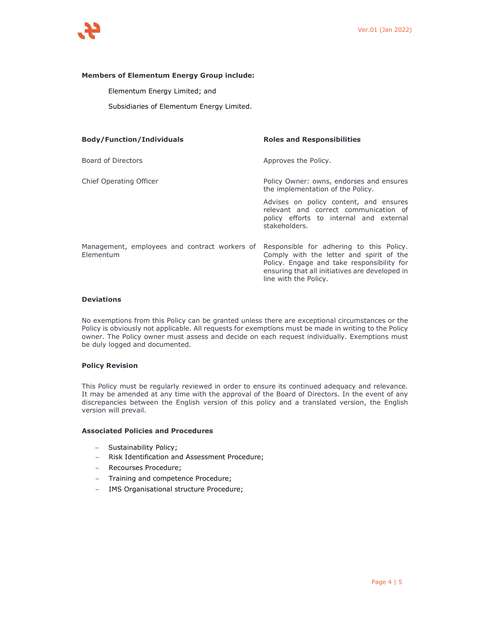

## **Members of Elementum Energy Group include:**

Elementum Energy Limited; and

Subsidiaries of Elementum Energy Limited.

| <b>Body/Function/Individuals</b>                           | <b>Roles and Responsibilities</b>                                                                                                                                                                             |  |
|------------------------------------------------------------|---------------------------------------------------------------------------------------------------------------------------------------------------------------------------------------------------------------|--|
| Board of Directors                                         | Approves the Policy.                                                                                                                                                                                          |  |
| Chief Operating Officer                                    | Policy Owner: owns, endorses and ensures<br>the implementation of the Policy.                                                                                                                                 |  |
|                                                            | Advises on policy content, and ensures<br>relevant and correct communication of<br>policy efforts to internal and external<br>stakeholders.                                                                   |  |
| Management, employees and contract workers of<br>Elementum | Responsible for adhering to this Policy.<br>Comply with the letter and spirit of the<br>Policy. Engage and take responsibility for<br>ensuring that all initiatives are developed in<br>line with the Policy. |  |

#### **Deviations**

No exemptions from this Policy can be granted unless there are exceptional circumstances or the Policy is obviously not applicable. All requests for exemptions must be made in writing to the Policy owner. The Policy owner must assess and decide on each request individually. Exemptions must be duly logged and documented.

#### **Policy Revision**

This Policy must be regularly reviewed in order to ensure its continued adequacy and relevance. It may be amended at any time with the approval of the Board of Directors. In the event of any discrepancies between the English version of this policy and a translated version, the English version will prevail.

## **Associated Policies and Procedures**

- Sustainability Policy;
- Risk Identification and Assessment Procedure;
- Recourses Procedure;
- Training and competence Procedure;
- IMS Organisational structure Procedure;